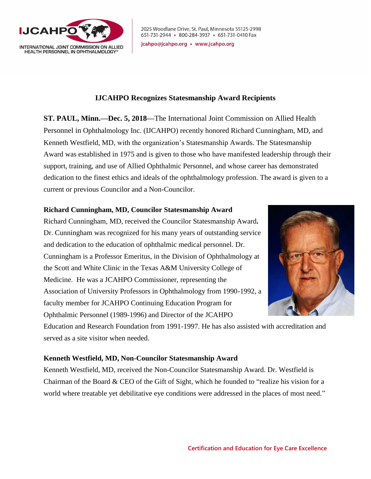

2025 Woodlane Drive, St. Paul, Minnesota 55125-2998 651-731-2944 · 800-284-3937 · 651-731-0410 Fax

jcahpo@jcahpo.org • www.jcahpo.org

## **IJCAHPO Recognizes Statesmanship Award Recipients**

**ST. PAUL, Minn.—Dec. 5, 2018—**The International Joint Commission on Allied Health Personnel in Ophthalmology Inc. (IJCAHPO) recently honored Richard Cunningham, MD, and Kenneth Westfield, MD, with the organization's Statesmanship Awards. The Statesmanship Award was established in 1975 and is given to those who have manifested leadership through their support, training, and use of Allied Ophthalmic Personnel, and whose career has demonstrated dedication to the finest ethics and ideals of the ophthalmology profession. The award is given to a current or previous Councilor and a Non-Councilor.

## **Richard Cunningham, MD, Councilor Statesmanship Award**

Richard Cunningham, MD, received the Councilor Statesmanship Award**.** Dr. Cunningham was recognized for his many years of outstanding service and dedication to the education of ophthalmic medical personnel. Dr. Cunningham is a Professor Emeritus, in the Division of Ophthalmology at the Scott and White Clinic in the Texas A&M University College of Medicine. He was a JCAHPO Commissioner, representing the Association of University Professors in Ophthalmology from 1990-1992, a faculty member for JCAHPO Continuing Education Program for Ophthalmic Personnel (1989-1996) and Director of the JCAHPO



Education and Research Foundation from 1991-1997. He has also assisted with accreditation and served as a site visitor when needed.

## **Kenneth Westfield, MD, Non-Councilor Statesmanship Award**

Kenneth Westfield, MD, received the Non-Councilor Statesmanship Award. Dr. Westfield is Chairman of the Board & CEO of the Gift of Sight, which he founded to "realize his vision for a world where treatable yet debilitative eye conditions were addressed in the places of most need."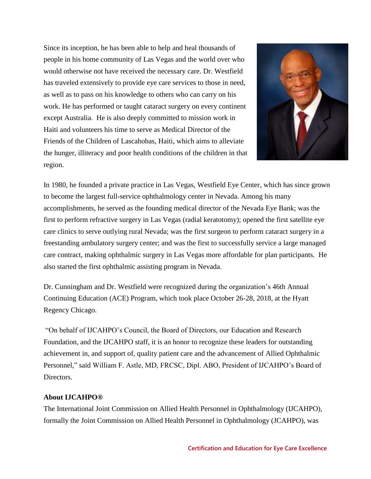Since its inception, he has been able to help and heal thousands of people in his home community of Las Vegas and the world over who would otherwise not have received the necessary care. Dr. Westfield has traveled extensively to provide eye care services to those in need, as well as to pass on his knowledge to others who can carry on his work. He has performed or taught cataract surgery on every continent except Australia. He is also deeply committed to mission work in Haiti and volunteers his time to serve as Medical Director of the Friends of the Children of Lascahobas, Haiti, which aims to alleviate the hunger, illiteracy and poor health conditions of the children in that region.



In 1980, he founded a private practice in Las Vegas, Westfield Eye Center, which has since grown to become the largest full-service ophthalmology center in Nevada. Among his many accomplishments, he served as the founding medical director of the Nevada Eye Bank; was the first to perform refractive surgery in Las Vegas (radial keratotomy); opened the first satellite eye care clinics to serve outlying rural Nevada; was the first surgeon to perform cataract surgery in a freestanding ambulatory surgery center; and was the first to successfully service a large managed care contract, making ophthalmic surgery in Las Vegas more affordable for plan participants. He also started the first ophthalmic assisting program in Nevada.

Dr. Cunningham and Dr. Westfield were recognized during the organization's 46th Annual Continuing Education (ACE) Program, which took place October 26-28, 2018, at the Hyatt Regency Chicago.

"On behalf of IJCAHPO's Council, the Board of Directors, our Education and Research Foundation, and the IJCAHPO staff, it is an honor to recognize these leaders for outstanding achievement in, and support of, quality patient care and the advancement of Allied Ophthalmic Personnel," said William F. Astle, MD, FRCSC, Dipl. ABO, President of IJCAHPO's Board of Directors.

## **About IJCAHPO®**

The International Joint Commission on Allied Health Personnel in Ophthalmology (IJCAHPO), formally the Joint Commission on Allied Health Personnel in Ophthalmology (JCAHPO), was